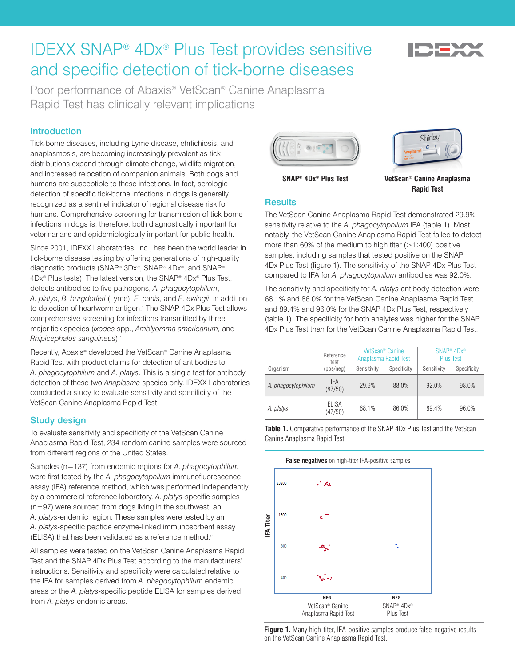# IDEXX SNAP® 4Dx® Plus Test provides sensitive and specific detection of tick-borne diseases

Poor performance of Abaxis® VetScan® Canine Anaplasma Rapid Test has clinically relevant implications

# **Introduction**

Tick-borne diseases, including Lyme disease, ehrlichiosis, and anaplasmosis, are becoming increasingly prevalent as tick distributions expand through climate change, wildlife migration, and increased relocation of companion animals. Both dogs and humans are susceptible to these infections. In fact, serologic detection of specific tick-borne infections in dogs is generally recognized as a sentinel indicator of regional disease risk for humans. Comprehensive screening for transmission of tick-borne infections in dogs is, therefore, both diagnostically important for veterinarians and epidemiologically important for public health.

Since 2001, IDEXX Laboratories, Inc., has been the world leader in tick-borne disease testing by offering generations of high-quality diagnostic products (SNAP® 3Dx®, SNAP® 4Dx®, and SNAP® 4Dx® Plus tests). The latest version, the SNAP® 4Dx® Plus Test, detects antibodies to five pathogens, *A. phagocytophilum*, *A. platys*, *B. burgdorferi* (Lyme), *E. canis*, and *E. ewingii*, in addition to detection of heartworm antigen.<sup>1</sup> The SNAP 4Dx Plus Test allows comprehensive screening for infections transmitted by three major tick species (*Ixodes* spp., *Amblyomma americanum,* and *Rhipicephalus sanguineus*).1

Recently, Abaxis® developed the VetScan® Canine Anaplasma Rapid Test with product claims for detection of antibodies to *A. phagocytophilum* and *A. platys*. This is a single test for antibody detection of these two *Anaplasma* species only. IDEXX Laboratories conducted a study to evaluate sensitivity and specificity of the VetScan Canine Anaplasma Rapid Test.

# Study design

To evaluate sensitivity and specificity of the VetScan Canine Anaplasma Rapid Test, 234 random canine samples were sourced from different regions of the United States.

Samples (n=137) from endemic regions for *A. phagocytophilum* were first tested by the *A. phagocytophilum* immunofluorescence assay (IFA) reference method, which was performed independently by a commercial reference laboratory. *A. platys*-specific samples (n=97) were sourced from dogs living in the southwest, an *A. platys*-endemic region. These samples were tested by an *A. platys*-specific peptide enzyme-linked immunosorbent assay (ELISA) that has been validated as a reference method.<sup>2</sup>

All samples were tested on the VetScan Canine Anaplasma Rapid Test and the SNAP 4Dx Plus Test according to the manufacturers' instructions. Sensitivity and specificity were calculated relative to the IFA for samples derived from *A. phagocytophilum* endemic areas or the *A. platys*-specific peptide ELISA for samples derived from *A. platys*-endemic areas.





# **SNAP® 4Dx® Plus Test VetScan® Canine Anaplasma Rapid Test**

#### **Results**

The VetScan Canine Anaplasma Rapid Test demonstrated 29.9% sensitivity relative to the *A. phagocytophilum* IFA (table 1). Most notably, the VetScan Canine Anaplasma Rapid Test failed to detect more than 60% of the medium to high titer  $(>1:400)$  positive samples, including samples that tested positive on the SNAP 4Dx Plus Test (figure 1). The sensitivity of the SNAP 4Dx Plus Test compared to IFA for *A. phagocytophilum* antibodies was 92.0%.

The sensitivity and specificity for *A. platys* antibody detection were 68.1% and 86.0% for the VetScan Canine Anaplasma Rapid Test and 89.4% and 96.0% for the SNAP 4Dx Plus Test, respectively (table 1). The specificity for both analytes was higher for the SNAP 4Dx Plus Test than for the VetScan Canine Anaplasma Rapid Test.

|                    | Reference<br>test       | VetScan <sup>®</sup> Canine<br>Anaplasma Rapid Test |             | $SNAP^*$ 4D $x^*$<br><b>Plus Test</b> |             |
|--------------------|-------------------------|-----------------------------------------------------|-------------|---------------------------------------|-------------|
| Organism           | (pos/neg)               | Sensitivity                                         | Specificity | Sensitivity                           | Specificity |
| A. phagocytophilum | IFA<br>(87/50)          | 29.9%                                               | 88.0%       | 92.0%                                 | 98.0%       |
| A. platys          | <b>ELISA</b><br>(47/50) | 68.1%                                               | 86.0%       | 89.4%                                 | 96.0%       |

Table 1. Comparative performance of the SNAP 4Dx Plus Test and the VetScan Canine Anaplasma Rapid Test



**Figure 1.** Many high-titer, IFA-positive samples produce false-negative results on the VetScan Canine Anaplasma Rapid Test.